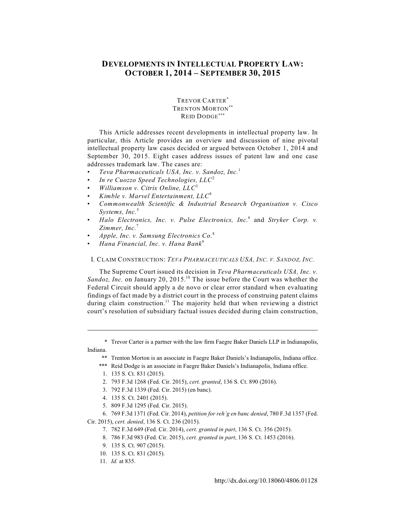# **DEVELOPMENTS IN INTELLECTUAL PROPERTY LAW: OCTOBER 1, 2014 – SEPTEMBER 30, 2015**

TREVOR CARTER\* TRENTON MORTON<sup>\*</sup> REID DODGE\*\*\*

This Article addresses recent developments in intellectual property law. In particular, this Article provides an overview and discussion of nine pivotal intellectual property law cases decided or argued between October 1, 2014 and September 30, 2015. Eight cases address issues of patent law and one case addresses trademark law. The cases are:

- *Teva Pharmaceuticals USA, Inc. v. Sandoz, Inc.*<sup>1</sup>
- *In re Cuozzo Speed Technologies, LLC*<sup>2</sup>
- *Williamson v. Citrix Online, LLC*<sup>3</sup>
- *Kimble v. Marvel Entertainment, LLC*<sup>4</sup>
- *Commonwealth Scientific & Industrial Research Organisation v. Cisco Systems, Inc.*<sup>5</sup>
- *Halo Electronics, Inc. v. Pulse Electronics, Inc.* and *Stryker Corp. v.* <sup>6</sup> *Zimmer, Inc.*<sup>7</sup>
- *Apple, Inc. v. Samsung Electronics Co.*<sup>8</sup>
- *Hana Financial, Inc. v. Hana Bank*<sup>9</sup>

# I. CLAIM CONSTRUCTION: *TEVA PHARMACEUTICALS USA, INC. V. SANDOZ, INC.*

The Supreme Court issued its decision in *Teva Pharmaceuticals USA, Inc. v. Sandoz, Inc.* on January 20, 2015.<sup>10</sup> The issue before the Court was whether the Federal Circuit should apply a de novo or clear error standard when evaluating findings of fact made by a district court in the process of construing patent claims during claim construction.<sup>11</sup> The majority held that when reviewing a district court's resolution of subsidiary factual issues decided during claim construction,

\* Trevor Carter is a partner with the law firm Faegre Baker Daniels LLP in Indianapolis, Indiana.

- \*\* Trenton Morton is an associate in Faegre Baker Daniels's Indianapolis, Indiana office.
- \*\*\* Reid Dodge is an associate in Faegre Baker Daniels's Indianapolis, Indiana office.
	- 1. 135 S. Ct. 831 (2015).
- 2. 793 F.3d 1268 (Fed. Cir. 2015), *cert. granted*, 136 S. Ct. 890 (2016).
- 3. 792 F.3d 1339 (Fed. Cir. 2015) (en banc).
- 4. 135 S. Ct. 2401 (2015).
- 5. 809 F.3d 1295 (Fed. Cir. 2015).
- 6. 769 F.3d 1371 (Fed. Cir. 2014), *petition for reh'g en banc denied*, 780 F.3d 1357 (Fed.

Cir. 2015), *cert. denied*, 136 S. Ct. 236 (2015).

- 7. 782 F.3d 649 (Fed. Cir. 2014), *cert. granted in part*, 136 S. Ct. 356 (2015).
- 8. 786 F.3d 983 (Fed. Cir. 2015), *cert. granted in part*, 136 S. Ct. 1453 (2016).
- 9. 135 S. Ct. 907 (2015).
- 10. 135 S. Ct. 831 (2015).
- 11. *Id.* at 835.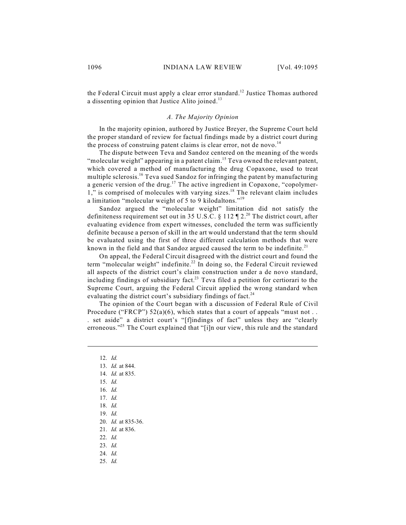the Federal Circuit must apply a clear error standard.<sup>12</sup> Justice Thomas authored a dissenting opinion that Justice Alito joined.<sup>13</sup>

### *A. The Majority Opinion*

In the majority opinion, authored by Justice Breyer, the Supreme Court held the proper standard of review for factual findings made by a district court during the process of construing patent claims is clear error, not de novo.<sup>14</sup>

The dispute between Teva and Sandoz centered on the meaning of the words "molecular weight" appearing in a patent claim.<sup>15</sup> Teva owned the relevant patent, which covered a method of manufacturing the drug Copaxone, used to treat multiple sclerosis.<sup>16</sup> Teva sued Sandoz for infringing the patent by manufacturing a generic version of the drug.<sup>17</sup> The active ingredient in Copaxone, "copolymer-1," is comprised of molecules with varying sizes.<sup>18</sup> The relevant claim includes a limitation "molecular weight of 5 to 9 kilodaltons."<sup>19</sup>

Sandoz argued the "molecular weight" limitation did not satisfy the definiteness requirement set out in 35 U.S.C. § 112  $\P$  2.<sup>20</sup> The district court, after evaluating evidence from expert witnesses, concluded the term was sufficiently definite because a person of skill in the art would understand that the term should be evaluated using the first of three different calculation methods that were known in the field and that Sandoz argued caused the term to be indefinite.<sup>21</sup>

On appeal, the Federal Circuit disagreed with the district court and found the term "molecular weight" indefinite. $^{22}$  In doing so, the Federal Circuit reviewed all aspects of the district court's claim construction under a de novo standard, including findings of subsidiary fact.<sup>23</sup> Teva filed a petition for certiorari to the Supreme Court, arguing the Federal Circuit applied the wrong standard when evaluating the district court's subsidiary findings of fact.<sup>24</sup>

The opinion of the Court began with a discussion of Federal Rule of Civil Procedure ("FRCP")  $52(a)(6)$ , which states that a court of appeals "must not.. . set aside" a district court's "[f]indings of fact" unless they are "clearly erroneous."<sup>25</sup> The Court explained that "[i]n our view, this rule and the standard

- 12. *Id.*
- 13. *Id.* at 844.
- 14. *Id.* at 835.
- 15. *Id.*
- 16. *Id.*
- 17. *Id.*
- 18. *Id.*
- 19. *Id.*
- 20. *Id.* at 835-36.
- 21. *Id.* at 836.
- 22. *Id.*
- 23. *Id.*
- 24. *Id.*
- 25. *Id.*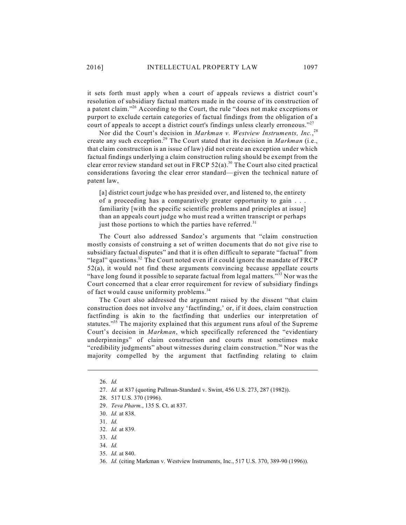it sets forth must apply when a court of appeals reviews a district court's resolution of subsidiary factual matters made in the course of its construction of a patent claim."<sup>26</sup> According to the Court, the rule "does not make exceptions or purport to exclude certain categories of factual findings from the obligation of a court of appeals to accept a district court's findings unless clearly erroneous."<sup>27</sup>

Nor did the Court's decision in *Markman v. Westview Instruments, Inc.*, 28 create any such exception.<sup>29</sup> The Court stated that its decision in *Markman* (i.e., that claim construction is an issue of law) did not create an exception under which factual findings underlying a claim construction ruling should be exempt from the clear error review standard set out in FRCP  $52(a)$ .<sup>30</sup> The Court also cited practical considerations favoring the clear error standard—given the technical nature of patent law,

[a] district court judge who has presided over, and listened to, the entirety of a proceeding has a comparatively greater opportunity to gain . . . familiarity [with the specific scientific problems and principles at issue] than an appeals court judge who must read a written transcript or perhaps just those portions to which the parties have referred. $31$ 

The Court also addressed Sandoz's arguments that "claim construction mostly consists of construing a set of written documents that do not give rise to subsidiary factual disputes" and that it is often difficult to separate "factual" from "legal" questions.<sup>32</sup> The Court noted even if it could ignore the mandate of FRCP 52(a), it would not find these arguments convincing because appellate courts "have long found it possible to separate factual from legal matters."<sup>33</sup> Nor was the Court concerned that a clear error requirement for review of subsidiary findings of fact would cause uniformity problems.<sup>34</sup>

The Court also addressed the argument raised by the dissent "that claim construction does not involve any 'factfinding,' or, if it does, claim construction factfinding is akin to the factfinding that underlies our interpretation of statutes.<sup>355</sup> The majority explained that this argument runs afoul of the Supreme Court's decision in *Markman*, which specifically referenced the "evidentiary underpinnings" of claim construction and courts must sometimes make "credibility judgments" about witnesses during claim construction.<sup>36</sup> Nor was the majority compelled by the argument that factfinding relating to claim

<sup>26.</sup> *Id.* 

<sup>27.</sup> *Id.* at 837 (quoting Pullman-Standard v. Swint, 456 U.S. 273, 287 (1982)).

<sup>28.</sup> 517 U.S. 370 (1996).

<sup>29.</sup> *Teva Pharm.*, 135 S. Ct. at 837.

<sup>30.</sup> *Id.* at 838.

<sup>31.</sup> *Id.* 

<sup>32.</sup> *Id.* at 839.

<sup>33.</sup> *Id.* 

<sup>34.</sup> *Id.* 

<sup>35.</sup> *Id.* at 840.

<sup>36.</sup> *Id.* (citing Markman v. Westview Instruments, Inc., 517 U.S. 370, 389-90 (1996)).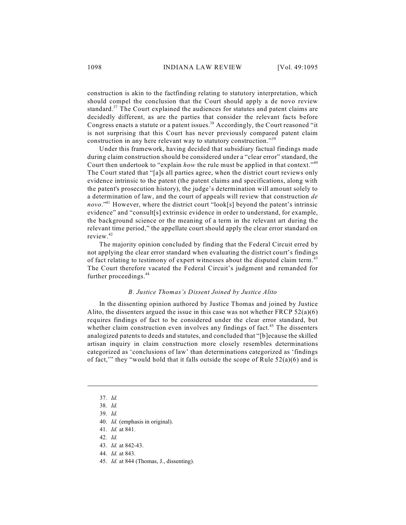construction is akin to the factfinding relating to statutory interpretation, which should compel the conclusion that the Court should apply a de novo review standard. $37$  The Court explained the audiences for statutes and patent claims are decidedly different, as are the parties that consider the relevant facts before Congress enacts a statute or a patent issues. $38$  Accordingly, the Court reasoned "it is not surprising that this Court has never previously compared patent claim construction in any here relevant way to statutory construction."<sup>39</sup>

Under this framework, having decided that subsidiary factual findings made during claim construction should be considered under a "clear error" standard, the Court then undertook to "explain *how* the rule must be applied in that context."<sup>40</sup> The Court stated that "[a]s all parties agree, when the district court reviews only evidence intrinsic to the patent (the patent claims and specifications, along with the patent's prosecution history), the judge's determination will amount solely to a determination of law, and the court of appeals will review that construction *de* novo.<sup>341</sup> However, where the district court "look[s] beyond the patent's intrinsic evidence" and "consult[s] extrinsic evidence in order to understand, for example, the background science or the meaning of a term in the relevant art during the relevant time period," the appellate court should apply the clear error standard on review. 42

The majority opinion concluded by finding that the Federal Circuit erred by not applying the clear error standard when evaluating the district court's findings of fact relating to testimony of expert witnesses about the disputed claim term.<sup>43</sup> The Court therefore vacated the Federal Circuit's judgment and remanded for further proceedings. 44

### *B. Justice Thomas's Dissent Joined by Justice Alito*

In the dissenting opinion authored by Justice Thomas and joined by Justice Alito, the dissenters argued the issue in this case was not whether FRCP  $52(a)(6)$ requires findings of fact to be considered under the clear error standard, but whether claim construction even involves any findings of fact.<sup>45</sup> The dissenters analogized patents to deeds and statutes, and concluded that "[b]ecause the skilled artisan inquiry in claim construction more closely resembles determinations categorized as 'conclusions of law' than determinations categorized as 'findings of fact," they "would hold that it falls outside the scope of Rule  $52(a)(6)$  and is

- 44. *Id.* at 843.
- 45. *Id.* at 844 (Thomas, J., dissenting).

<sup>37.</sup> *Id.* 

<sup>38.</sup> *Id.* 

<sup>39.</sup> *Id.*

<sup>40.</sup> *Id.* (emphasis in original).

<sup>41.</sup> *Id.* at 841.

<sup>42.</sup> *Id.*

<sup>43.</sup> *Id.* at 842-43.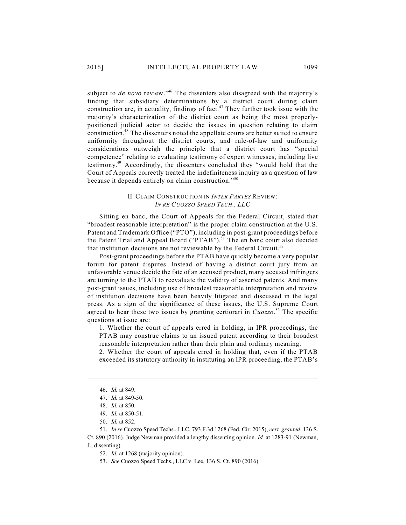subject to *de novo* review."<sup>46</sup> The dissenters also disagreed with the majority's finding that subsidiary determinations by a district court during claim construction are, in actuality, findings of fact. $47$  They further took issue with the majority's characterization of the district court as being the most properlypositioned judicial actor to decide the issues in question relating to claim construction.<sup>48</sup> The dissenters noted the appellate courts are better suited to ensure uniformity throughout the district courts, and rule-of-law and uniformity considerations outweigh the principle that a district court has "special competence" relating to evaluating testimony of expert witnesses, including live testimony.<sup>49</sup> Accordingly, the dissenters concluded they "would hold that the Court of Appeals correctly treated the indefiniteness inquiry as a question of law because it depends entirely on claim construction."<sup>50</sup>

# II. CLAIM CONSTRUCTION IN *INTER PARTES* REVIEW: *IN RE CUOZZO SPEED TECH., LLC*

Sitting en banc, the Court of Appeals for the Federal Circuit, stated that "broadest reasonable interpretation" is the proper claim construction at the U.S. Patent and Trademark Office ("PTO"), including in post-grant proceedings before the Patent Trial and Appeal Board ("PTAB").<sup>51</sup> The en banc court also decided that institution decisions are not reviewable by the Federal Circuit.<sup>52</sup>

Post-grant proceedings before the PTAB have quickly become a very popular forum for patent disputes. Instead of having a district court jury from an unfavorable venue decide the fate of an accused product, many accused infringers are turning to the PTAB to reevaluate the validity of asserted patents. And many post-grant issues, including use of broadest reasonable interpretation and review of institution decisions have been heavily litigated and discussed in the legal press. As a sign of the significance of these issues, the U.S. Supreme Court agreed to hear these two issues by granting certiorari in *Cuozzo*.<sup>53</sup> The specific questions at issue are:

1. Whether the court of appeals erred in holding, in IPR proceedings, the PTAB may construe claims to an issued patent according to their broadest reasonable interpretation rather than their plain and ordinary meaning.

2. Whether the court of appeals erred in holding that, even if the PTAB exceeded its statutory authority in instituting an IPR proceeding, the PTAB's

51. *In re* Cuozzo Speed Techs., LLC, 793 F.3d 1268 (Fed. Cir. 2015), *cert. granted*, 136 S. Ct. 890 (2016). Judge Newman provided a lengthy dissenting opinion. *Id.* at 1283-91 (Newman, J., dissenting).

52. *Id.* at 1268 (majority opinion).

53. *See* Cuozzo Speed Techs., LLC v. Lee, 136 S. Ct. 890 (2016).

<sup>46.</sup> *Id.* at 849.

<sup>47.</sup> *Id.* at 849-50.

<sup>48.</sup> *Id.* at 850.

<sup>49.</sup> *Id.* at 850-51.

<sup>50.</sup> *Id.* at 852.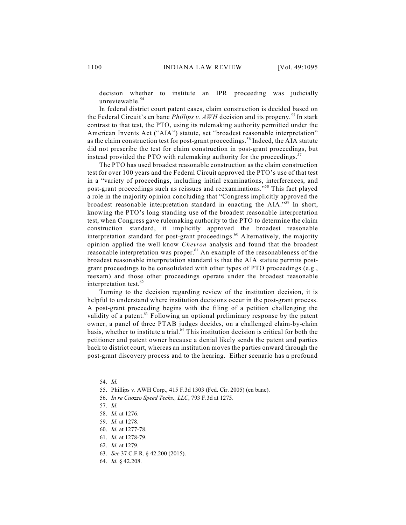decision whether to institute an IPR proceeding was judicially unreviewable. 54

In federal district court patent cases, claim construction is decided based on the Federal Circuit's en banc *Phillips v. AWH* decision and its progeny.<sup>55</sup> In stark contrast to that test, the PTO, using its rulemaking authority permitted under the American Invents Act ("AIA") statute, set "broadest reasonable interpretation" as the claim construction test for post-grant proceedings.<sup>56</sup> Indeed, the AIA statute did not prescribe the test for claim construction in post-grant proceedings, but instead provided the PTO with rulemaking authority for the proceedings.<sup>57</sup>

The PTO has used broadest reasonable construction as the claim construction test for over 100 years and the Federal Circuit approved the PTO's use of that test in a "variety of proceedings, including initial examinations, interferences, and post-grant proceedings such as reissues and reexaminations."<sup>58</sup> This fact played a role in the majority opinion concluding that "Congress implicitly approved the broadest reasonable interpretation standard in enacting the AIA."<sup>59</sup> In short, knowing the PTO's long standing use of the broadest reasonable interpretation test, when Congress gave rulemaking authority to the PTO to determine the claim construction standard, it implicitly approved the broadest reasonable interpretation standard for post-grant proceedings.<sup>60</sup> Alternatively, the majority opinion applied the well know *Chevron* analysis and found that the broadest reasonable interpretation was proper. $61$  An example of the reasonableness of the broadest reasonable interpretation standard is that the AIA statute permits postgrant proceedings to be consolidated with other types of PTO proceedings (e.g., reexam) and those other proceedings operate under the broadest reasonable interpretation test. 62

Turning to the decision regarding review of the institution decision, it is helpful to understand where institution decisions occur in the post-grant process. A post-grant proceeding begins with the filing of a petition challenging the validity of a patent.<sup>63</sup> Following an optional preliminary response by the patent owner, a panel of three PTAB judges decides, on a challenged claim-by-claim basis, whether to institute a trial.<sup>64</sup> This institution decision is critical for both the petitioner and patent owner because a denial likely sends the patent and parties back to district court, whereas an institution moves the parties onward through the post-grant discovery process and to the hearing. Either scenario has a profound

<sup>54.</sup> *Id.*

<sup>55.</sup> Phillips v. AWH Corp., 415 F.3d 1303 (Fed. Cir. 2005) (en banc).

<sup>56.</sup> *In re Cuozzo Speed Techs., LLC*, 793 F.3d at 1275.

<sup>57.</sup> *Id*.

<sup>58.</sup> *Id.* at 1276.

<sup>59.</sup> *Id*. at 1278.

<sup>60.</sup> *Id.* at 1277-78.

<sup>61.</sup> *Id.* at 1278-79.

<sup>62.</sup> *Id.* at 1279.

<sup>63.</sup> *See* 37 C.F.R. § 42.200 (2015).

<sup>64.</sup> *Id.* § 42.208.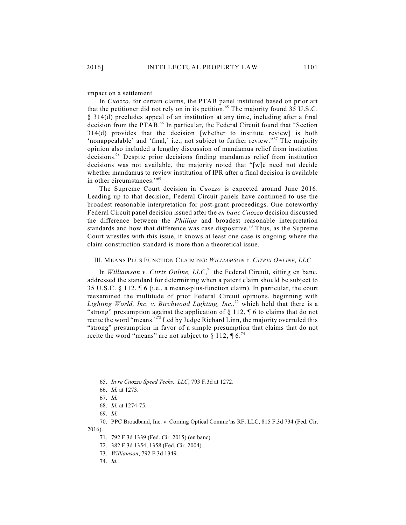impact on a settlement.

In *Cuozzo*, for certain claims, the PTAB panel instituted based on prior art that the petitioner did not rely on in its petition.<sup>65</sup> The majority found 35 U.S.C. § 314(d) precludes appeal of an institution at any time, including after a final decision from the PTAB.<sup>66</sup> In particular, the Federal Circuit found that "Section 314(d) provides that the decision [whether to institute review] is both 'nonappealable' and 'final,' i.e., not subject to further review."<sup>67</sup> The majority opinion also included a lengthy discussion of mandamus relief from institution decisions.<sup>68</sup> Despite prior decisions finding mandamus relief from institution decisions was not available, the majority noted that "[w]e need not decide whether mandamus to review institution of IPR after a final decision is available in other circumstances."<sup>69</sup>

The Supreme Court decision in *Cuozzo* is expected around June 2016. Leading up to that decision, Federal Circuit panels have continued to use the broadest reasonable interpretation for post-grant proceedings. One noteworthy Federal Circuit panel decision issued after the *en banc Cuozzo* decision discussed the difference between the *Phillips* and broadest reasonable interpretation standards and how that difference was case dispositive.<sup>70</sup> Thus, as the Supreme Court wrestles with this issue, it knows at least one case is ongoing where the claim construction standard is more than a theoretical issue.

### III. MEANS PLUS FUNCTION CLAIMING: *WILLIAMSON V. CITRIX ONLINE, LLC*

In *Williamson v. Citrix Online,*  $LLC$ ,<sup> $71$ </sup> the Federal Circuit, sitting en banc, addressed the standard for determining when a patent claim should be subject to 35 U.S.C. § 112, ¶ 6 (i.e., a means-plus-function claim). In particular, the court reexamined the multitude of prior Federal Circuit opinions, beginning with Lighting World, Inc. v. Birchwood Lighting, Inc.,<sup>72</sup> which held that there is a "strong" presumption against the application of  $\S 112$ ,  $\P 6$  to claims that do not recite the word "means."<sup>73</sup> Led by Judge Richard Linn, the majority overruled this "strong" presumption in favor of a simple presumption that claims that do not recite the word "means" are not subject to  $\S 112$ ,  $\P 6$ .<sup>74</sup>

72. 382 F.3d 1354, 1358 (Fed. Cir. 2004).

<sup>65.</sup> *In re Cuozzo Speed Techs., LLC*, 793 F.3d at 1272.

<sup>66.</sup> *Id.* at 1273.

<sup>67.</sup> *Id.*

<sup>68.</sup> *Id.* at 1274-75.

<sup>69.</sup> *Id.*

<sup>70.</sup> PPC Broadband, Inc. v. Corning Optical Commc'ns RF, LLC, 815 F.3d 734 (Fed. Cir. 2016).

<sup>71.</sup> 792 F.3d 1339 (Fed. Cir. 2015) (en banc).

<sup>73.</sup> *Williamson*, 792 F.3d 1349.

<sup>74.</sup> *Id.*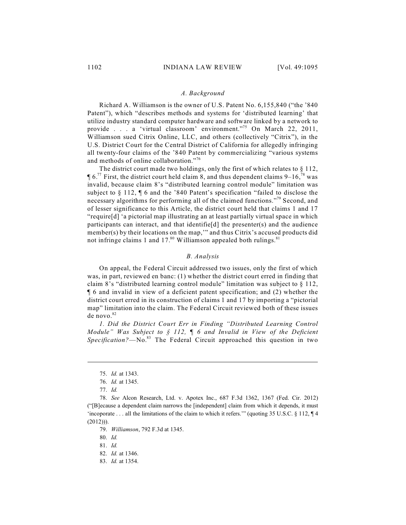#### *A. Background*

Richard A. Williamson is the owner of U.S. Patent No. 6,155,840 ("the '840 Patent"), which "describes methods and systems for 'distributed learning' that utilize industry standard computer hardware and software linked by a network to provide . . . a 'virtual classroom' environment."<sup>75</sup> On March 22, 2011, Williamson sued Citrix Online, LLC, and others (collectively "Citrix"), in the U.S. District Court for the Central District of California for allegedly infringing all twenty-four claims of the '840 Patent by commercializing "various systems and methods of online collaboration."<sup>76</sup>

The district court made two holdings, only the first of which relates to § 112,  $\P$  6.<sup>77</sup> First, the district court held claim 8, and thus dependent claims 9–16,<sup>78</sup> was invalid, because claim 8's "distributed learning control module" limitation was subject to § 112, ¶ 6 and the '840 Patent's specification "failed to disclose the necessary algorithms for performing all of the claimed functions."<sup>79</sup> Second, and of lesser significance to this Article, the district court held that claims 1 and 17 "require[d] 'a pictorial map illustrating an at least partially virtual space in which participants can interact, and that identifie<sup>[d]</sup> the presenter(s) and the audience member(s) by their locations on the map," and thus Citrix's accused products did not infringe claims 1 and 17. $80$  Williamson appealed both rulings.  $81$ 

### *B. Analysis*

On appeal, the Federal Circuit addressed two issues, only the first of which was, in part, reviewed en banc: (1) whether the district court erred in finding that claim 8's "distributed learning control module" limitation was subject to § 112, ¶ 6 and invalid in view of a deficient patent specification; and (2) whether the district court erred in its construction of claims 1 and 17 by importing a "pictorial map" limitation into the claim. The Federal Circuit reviewed both of these issues de novo. 82

*1. Did the District Court Err in Finding "Distributed Learning Control Module" Was Subject to § 112, ¶ 6 and Invalid in View of the Deficient* Specification?—No.<sup>83</sup> The Federal Circuit approached this question in two

79. *Williamson*, 792 F.3d at 1345.

80. *Id.*

81. *Id.*

83. *Id.* at 1354.

<sup>75.</sup> *Id.* at 1343.

<sup>76.</sup> *Id.* at 1345.

<sup>77.</sup> *Id.*

<sup>78.</sup> *See* Alcon Research, Ltd. v. Apotex Inc., 687 F.3d 1362, 1367 (Fed. Cir. 2012) ("[B]ecause a dependent claim narrows the [independent] claim from which it depends, it must 'incoporate . . . all the limitations of the claim to which it refers.'" (quoting 35 U.S.C. § 112, ¶ 4  $(2012))$ ).

<sup>82.</sup> *Id.* at 1346.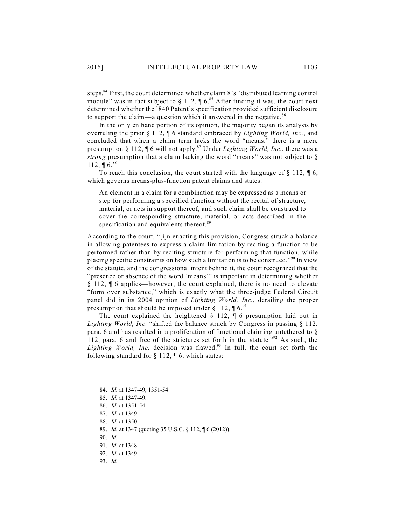steps.<sup>84</sup> First, the court determined whether claim 8's "distributed learning control module" was in fact subject to  $\S 112$ ,  $\P 6$ .<sup>85</sup> After finding it was, the court next determined whether the '840 Patent's specification provided sufficient disclosure to support the claim—a question which it answered in the negative.<sup>86</sup>

In the only en banc portion of its opinion, the majority began its analysis by overruling the prior § 112, ¶ 6 standard embraced by *Lighting World, Inc.*, and concluded that when a claim term lacks the word "means," there is a mere presumption § 112, ¶ 6 will not apply.<sup>87</sup> Under *Lighting World, Inc.*, there was a *strong* presumption that a claim lacking the word "means" was not subject to § 112, **[6.**88]

To reach this conclusion, the court started with the language of  $\S 112$ ,  $\S 6$ , which governs means-plus-function patent claims and states:

An element in a claim for a combination may be expressed as a means or step for performing a specified function without the recital of structure, material, or acts in support thereof, and such claim shall be construed to cover the corresponding structure, material, or acts described in the specification and equivalents thereof.<sup>89</sup>

According to the court, "[i]n enacting this provision, Congress struck a balance in allowing patentees to express a claim limitation by reciting a function to be performed rather than by reciting structure for performing that function, while placing specific constraints on how such a limitation is to be construed."<sup>90</sup> In view of the statute, and the congressional intent behind it, the court recognized that the "presence or absence of the word 'means'" is important in determining whether § 112, ¶ 6 applies—however, the court explained, there is no need to elevate "form over substance," which is exactly what the three-judge Federal Circuit panel did in its 2004 opinion of *Lighting World, Inc.*, derailing the proper presumption that should be imposed under § 112,  $\P$  6.<sup>91</sup>

The court explained the heightened  $\S$  112,  $\P$  6 presumption laid out in *Lighting World, Inc.* "shifted the balance struck by Congress in passing § 112, para. 6 and has resulted in a proliferation of functional claiming untethered to § 112, para. 6 and free of the strictures set forth in the statute."<sup>92</sup> As such, the Lighting World, Inc. decision was flawed.<sup>93</sup> In full, the court set forth the following standard for  $\S 112$ ,  $\P 6$ , which states:

93. *Id.* 

<sup>84.</sup> *Id.* at 1347-49, 1351-54.

<sup>85.</sup> *Id.* at 1347-49.

<sup>86.</sup> *Id.* at 1351-54

<sup>87.</sup> *Id.* at 1349.

<sup>88.</sup> *Id.* at 1350.

<sup>89.</sup> *Id.* at 1347 (quoting 35 U.S.C. § 112, ¶ 6 (2012)).

<sup>90.</sup> *Id.*

<sup>91.</sup> *Id.* at 1348.

<sup>92.</sup> *Id.* at 1349.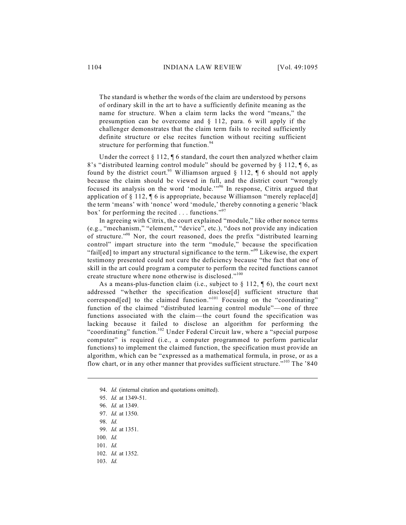The standard is whether the words of the claim are understood by persons of ordinary skill in the art to have a sufficiently definite meaning as the name for structure. When a claim term lacks the word "means," the presumption can be overcome and § 112, para. 6 will apply if the challenger demonstrates that the claim term fails to recited sufficiently definite structure or else recites function without reciting sufficient structure for performing that function.<sup>94</sup>

Under the correct  $\S 112$ ,  $\P 6$  standard, the court then analyzed whether claim 8's "distributed learning control module" should be governed by § 112, ¶ 6, as found by the district court.<sup>95</sup> Williamson argued § 112,  $\P$  6 should not apply because the claim should be viewed in full, and the district court "wrongly focused its analysis on the word 'module.'"<sup>96</sup> In response, Citrix argued that application of § 112, ¶ 6 is appropriate, because Williamson "merely replace[d] the term 'means' with 'nonce' word 'module,' thereby connoting a generic 'black box' for performing the recited  $\ldots$  functions."<sup>97</sup>

In agreeing with Citrix, the court explained "module," like other nonce terms (e.g., "mechanism," "element," "device", etc.), "does not provide any indication of structure."<sup>98</sup> Nor, the court reasoned, does the prefix "distributed learning control" impart structure into the term "module," because the specification "fail[ed] to impart any structural significance to the term."<sup>99</sup> Likewise, the expert testimony presented could not cure the deficiency because "the fact that one of skill in the art could program a computer to perform the recited functions cannot create structure where none otherwise is disclosed."<sup>100</sup>

As a means-plus-function claim (i.e., subject to  $\S 112$ ,  $\P 6$ ), the court next addressed "whether the specification disclose[d] sufficient structure that correspond[ed] to the claimed function."<sup>101</sup> Focusing on the "coordinating" function of the claimed "distributed learning control module"—one of three functions associated with the claim—the court found the specification was lacking because it failed to disclose an algorithm for performing the "coordinating" function.<sup>102</sup> Under Federal Circuit law, where a "special purpose computer" is required (i.e., a computer programmed to perform particular functions) to implement the claimed function, the specification must provide an algorithm, which can be "expressed as a mathematical formula, in prose, or as a flow chart, or in any other manner that provides sufficient structure."<sup>103</sup> The '840

<sup>94.</sup> *Id.* (internal citation and quotations omitted).

<sup>95.</sup> *Id.* at 1349-51.

<sup>96.</sup> *Id.* at 1349.

<sup>97.</sup> *Id.* at 1350.

<sup>98.</sup> *Id.*

<sup>99.</sup> *Id.* at 1351.

<sup>100.</sup> *Id.*

<sup>101.</sup> *Id.*

<sup>102.</sup> *Id.* at 1352.

<sup>103.</sup> *Id.*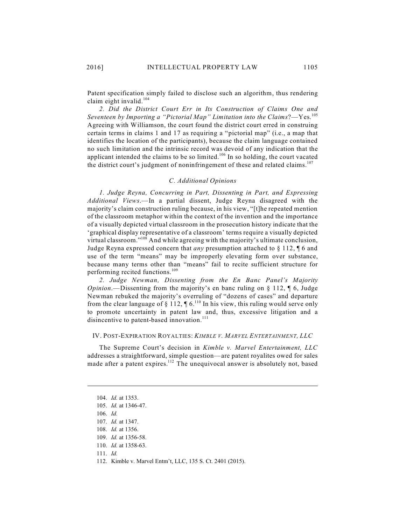Patent specification simply failed to disclose such an algorithm, thus rendering claim eight invalid. 104

*2. Did the District Court Err in Its Construction of Claims One and Seventeen by Importing a "Pictorial Map" Limitation into the Claims*?—Yes. 105 Agreeing with Williamson, the court found the district court erred in construing certain terms in claims 1 and 17 as requiring a "pictorial map" (i.e., a map that identifies the location of the participants), because the claim language contained no such limitation and the intrinsic record was devoid of any indication that the applicant intended the claims to be so limited.<sup>106</sup> In so holding, the court vacated the district court's judgment of noninfringement of these and related claims.<sup>107</sup>

### *C. Additional Opinions*

*1. Judge Reyna, Concurring in Part, Dissenting in Part, and Expressing Additional Views*.—In a partial dissent, Judge Reyna disagreed with the majority's claim construction ruling because, in his view, "[t]he repeated mention of the classroom metaphor within the context of the invention and the importance of a visually depicted virtual classroom in the prosecution history indicate that the 'graphical display representative of a classroom' terms require a visually depicted virtual classroom."<sup>108</sup> And while agreeing with the majority's ultimate conclusion, Judge Reyna expressed concern that *any* presumption attached to § 112, ¶ 6 and use of the term "means" may be improperly elevating form over substance, because many terms other than "means" fail to recite sufficient structure for performing recited functions. 109

*2. Judge Newman, Dissenting from the En Banc Panel's Majority Opinion*.—Dissenting from the majority's en banc ruling on § 112, ¶ 6, Judge Newman rebuked the majority's overruling of "dozens of cases" and departure from the clear language of  $\S 112$ ,  $\P 6$ .<sup>110</sup> In his view, this ruling would serve only to promote uncertainty in patent law and, thus, excessive litigation and a disincentive to patent-based innovation.<sup>111</sup>

### IV. POST-EXPIRATION ROYALTIES: *KIMBLE V. MARVEL ENTERTAINMENT, LLC*

The Supreme Court's decision in *Kimble v. Marvel Entertainment, LLC* addresses a straightforward, simple question—are patent royalites owed for sales made after a patent expires.<sup>112</sup> The unequivocal answer is absolutely not, based

<sup>104.</sup> *Id.* at 1353.

<sup>105.</sup> *Id.* at 1346-47.

<sup>106.</sup> *Id.*

<sup>107.</sup> *Id.* at 1347.

<sup>108.</sup> *Id.* at 1356.

<sup>109.</sup> *Id.* at 1356-58.

<sup>110.</sup> *Id.* at 1358-63.

<sup>111.</sup> *Id.*

<sup>112.</sup> Kimble v. Marvel Entm't, LLC, 135 S. Ct. 2401 (2015).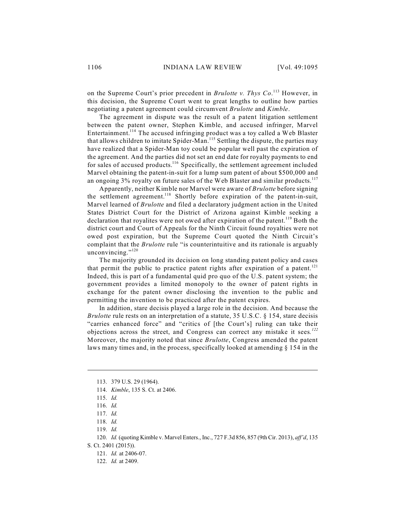on the Supreme Court's prior precedent in *Brulotte v. Thys Co.*<sup>113</sup> However, in this decision, the Supreme Court went to great lengths to outline how parties negotiating a patent agreement could circumvent *Brulotte* and *Kimble*.

The agreement in dispute was the result of a patent litigation settlement between the patent owner, Stephen Kimble, and accused infringer, Marvel Entertainment.<sup>114</sup> The accused infringing product was a toy called a Web Blaster that allows children to imitate Spider-Man.<sup>115</sup> Settling the dispute, the parties may have realized that a Spider-Man toy could be popular well past the expiration of the agreement. And the parties did not set an end date for royalty payments to end for sales of accused products.<sup>116</sup> Specifically, the settlement agreement included Marvel obtaining the patent-in-suit for a lump sum patent of about \$500,000 and an ongoing 3% royalty on future sales of the Web Blaster and similar products.<sup>117</sup>

Apparently, neither Kimble nor Marvel were aware of *Brulotte* before signing the settlement agreement.<sup>118</sup> Shortly before expiration of the patent-in-suit, Marvel learned of *Brulotte* and filed a declaratory judgment action in the United States District Court for the District of Arizona against Kimble seeking a declaration that royalites were not owed after expiration of the patent.<sup>119</sup> Both the district court and Court of Appeals for the Ninth Circuit found royalties were not owed post expiration, but the Supreme Court quoted the Ninth Circuit's complaint that the *Brulotte* rule "is counterintuitive and its rationale is arguably unconvincing."<sup>120</sup>

The majority grounded its decision on long standing patent policy and cases that permit the public to practice patent rights after expiration of a patent.<sup>121</sup> Indeed, this is part of a fundamental quid pro quo of the U.S. patent system; the government provides a limited monopoly to the owner of patent rights in exchange for the patent owner disclosing the invention to the public and permitting the invention to be practiced after the patent expires.

In addition, stare decisis played a large role in the decision. And because the *Brulotte* rule rests on an interpretation of a statute, 35 U.S.C. § 154, stare decisis "carries enhanced force" and "critics of [the Court's] ruling can take their objections across the street, and Congress can correct any mistake it sees*. 122* Moreover, the majority noted that since *Brulotte*, Congress amended the patent laws many times and, in the process, specifically looked at amending § 154 in the

<sup>113.</sup> 379 U.S. 29 (1964).

<sup>114.</sup> *Kimble*, 135 S. Ct. at 2406.

<sup>115.</sup> *Id.*

<sup>116.</sup> *Id.*

<sup>117.</sup> *Id.*

<sup>118.</sup> *Id.*

<sup>119.</sup> *Id.*

<sup>120.</sup> *Id.* (quoting Kimble v. Marvel Enters., Inc., 727 F.3d 856, 857 (9th Cir. 2013), *aff'd*, 135 S. Ct. 2401 (2015)).

<sup>121.</sup> *Id.* at 2406-07.

<sup>122.</sup> *Id.* at 2409.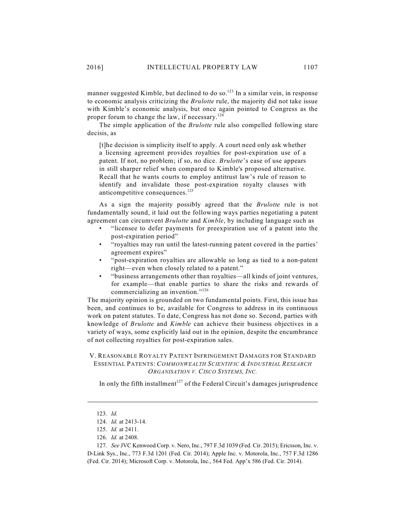manner suggested Kimble, but declined to do so.<sup>123</sup> In a similar vein, in response to economic analysis criticizing the *Brulotte* rule, the majority did not take issue with Kimble's economic analysis, but once again pointed to Congress as the proper forum to change the law, if necessary.<sup>124</sup>

The simple application of the *Brulotte* rule also compelled following stare decisis, as

[t]he decision is simplicity itself to apply. A court need only ask whether a licensing agreement provides royalties for post-expiration use of a patent. If not, no problem; if so, no dice. *Brulotte*'s ease of use appears in still sharper relief when compared to Kimble's proposed alternative. Recall that he wants courts to employ antitrust law's rule of reason to identify and invalidate those post-expiration royalty clauses with anticompetitive consequences.<sup>125</sup>

As a sign the majority possibly agreed that the *Brulotte* rule is not fundamentally sound, it laid out the following ways parties negotiating a patent agreement can circumvent *Brulotte* and *Kimble*, by including language such as

- "licensee to defer payments for preexpiration use of a patent into the post-expiration period"
- "royalties may run until the latest-running patent covered in the parties' agreement expires"
- "post-expiration royalties are allowable so long as tied to a non-patent right—even when closely related to a patent."
- "business arrangements other than royalties—all kinds of joint ventures, for example—that enable parties to share the risks and rewards of commercializing an invention."<sup>126</sup>

The majority opinion is grounded on two fundamental points. First, this issue has been, and continues to be, available for Congress to address in its continuous work on patent statutes. To date, Congress has not done so. Second, parties with knowledge of *Brulotte* and *Kimble* can achieve their business objectives in a variety of ways, some explicitly laid out in the opinion, despite the encumbrance of not collecting royalties for post-expiration sales.

# V. REASONABLE ROYALTY PATENT INFRINGEMENT DAMAGES FOR STANDARD ESSENTIAL PATENTS: *COMMONWEALTH SCIENTIFIC & INDUSTRIAL RESEARCH ORGANISATION V. CISCO SYSTEMS, INC.*

In only the fifth installment<sup>127</sup> of the Federal Circuit's damages jurisprudence

<sup>123.</sup> *Id.*

<sup>124.</sup> *Id.* at 2413-14.

<sup>125.</sup> *Id.* at 2411.

<sup>126.</sup> *Id.* at 2408.

<sup>127.</sup> *See* JVC Kenwood Corp. v. Nero, Inc., 797 F.3d 1039 (Fed. Cir. 2015); Ericsson, Inc. v. D-Link Sys., Inc., 773 F.3d 1201 (Fed. Cir. 2014); Apple Inc. v. Motorola, Inc., 757 F.3d 1286 (Fed. Cir. 2014); Microsoft Corp. v. Motorola, Inc., 564 Fed. App'x 586 (Fed. Cir. 2014).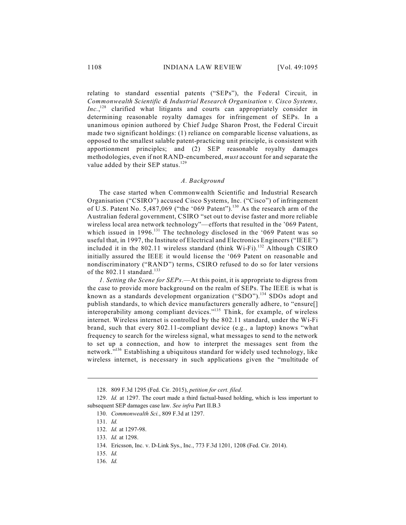relating to standard essential patents ("SEPs"), the Federal Circuit, in *Commonwealth Scientific & Industrial Research Organisation v. Cisco Systems,*  $Inc.$ <sup>128</sup> clarified what litigants and courts can appropriately consider in determining reasonable royalty damages for infringement of SEPs. In a unanimous opinion authored by Chief Judge Sharon Prost, the Federal Circuit made two significant holdings: (1) reliance on comparable license valuations, as opposed to the smallest salable patent-practicing unit principle, is consistent with apportionment principles; and (2) SEP reasonable royalty damages methodologies, even if not RAND-encumbered, *must* account for and separate the value added by their SEP status.<sup>129</sup>

#### *A. Background*

The case started when Commonwealth Scientific and Industrial Research Organisation ("CSIRO") accused Cisco Systems, Inc. ("Cisco") of infringement of U.S. Patent No. 5,487,069 ("the '069 Patent").<sup>130</sup> As the research arm of the Australian federal government, CSIRO "set out to devise faster and more reliable wireless local area network technology"—efforts that resulted in the '069 Patent, which issued in  $1996$ .<sup>131</sup> The technology disclosed in the '069 Patent was so useful that, in 1997, the Institute of Electrical and Electronics Engineers ("IEEE") included it in the 802.11 wireless standard (think Wi-Fi).<sup>132</sup> Although CSIRO initially assured the IEEE it would license the '069 Patent on reasonable and nondiscriminatory ("RAND") terms, CSIRO refused to do so for later versions of the 802.11 standard.<sup>133</sup>

*1. Setting the Scene for SEPs*.—At this point, it is appropriate to digress from the case to provide more background on the realm of SEPs. The IEEE is what is known as a standards development organization ("SDO").<sup>134</sup> SDOs adopt and publish standards, to which device manufacturers generally adhere, to "ensure[] interoperability among compliant devices."<sup>135</sup> Think, for example, of wireless internet. Wireless internet is controlled by the 802.11 standard, under the Wi-Fi brand, such that every 802.11-compliant device (e.g., a laptop) knows "what frequency to search for the wireless signal, what messages to send to the network to set up a connection, and how to interpret the messages sent from the network."<sup>136</sup> Establishing a ubiquitous standard for widely used technology, like wireless internet, is necessary in such applications given the "multitude of

<sup>128.</sup> 809 F.3d 1295 (Fed. Cir. 2015), *petition for cert. filed*.

<sup>129.</sup> *Id.* at 1297. The court made a third factual-based holding, which is less important to subsequent SEP damages case law. *See infra* Part II.B.3

<sup>130.</sup> *Commonwealth Sci.*, 809 F.3d at 1297.

<sup>131.</sup> *Id.*

<sup>132.</sup> *Id.* at 1297-98.

<sup>133.</sup> *Id.* at 1298.

<sup>134.</sup> Ericsson, Inc. v. D-Link Sys., Inc., 773 F.3d 1201, 1208 (Fed. Cir. 2014).

<sup>135.</sup> *Id.*

<sup>136.</sup> *Id.*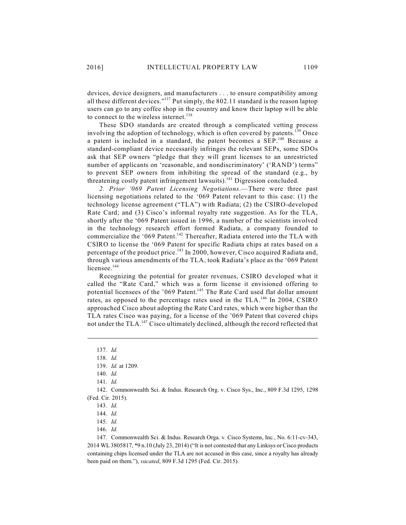devices, device designers, and manufacturers . . . to ensure compatibility among all these different devices." $137$  Put simply, the 802.11 standard is the reason laptop users can go to any coffee shop in the country and know their laptop will be able to connect to the wireless internet.<sup>138</sup>

These SDO standards are created through a complicated vetting process involving the adoption of technology, which is often covered by patents.<sup>139</sup> Once a patent is included in a standard, the patent becomes a SEP.<sup>140</sup> Because a standard-compliant device necessarily infringes the relevant SEPs, some SDOs ask that SEP owners "pledge that they will grant licenses to an unrestricted number of applicants on 'reasonable, and nondiscriminatory' ('RAND') terms" to prevent SEP owners from inhibiting the spread of the standard (e.g., by threatening costly patent infringement lawsuits).<sup>141</sup> Digression concluded.

*2. Prior '069 Patent Licensing Negotiations*.—There were three past licensing negotiations related to the '069 Patent relevant to this case: (1) the technology license agreement ("TLA") with Radiata; (2) the CSIRO-developed Rate Card; and (3) Cisco's informal royalty rate suggestion. As for the TLA, shortly after the '069 Patent issued in 1996, a number of the scientists involved in the technology research effort formed Radiata, a company founded to commercialize the '069 Patent.<sup>142</sup> Thereafter, Radiata entered into the TLA with CSIRO to license the '069 Patent for specific Radiata chips at rates based on a percentage of the product price.<sup>143</sup> In 2000, however, Cisco acquired Radiata and, through various amendments of the TLA, took Radiata's place as the '069 Patent licensee.<sup>144</sup>

Recognizing the potential for greater revenues, CSIRO developed what it called the "Rate Card," which was a form license it envisioned offering to potential licensees of the '069 Patent.<sup>145</sup> The Rate Card used flat dollar amount rates, as opposed to the percentage rates used in the  $TLA$ .<sup>146</sup> In 2004, CSIRO approached Cisco about adopting the Rate Card rates, which were higher than the TLA rates Cisco was paying, for a license of the '069 Patent that covered chips not under the TLA.<sup>147</sup> Cisco ultimately declined, although the record reflected that

142. Commonwealth Sci. & Indus. Research Org. v. Cisco Sys., Inc., 809 F.3d 1295, 1298 (Fed. Cir. 2015).

<sup>137.</sup> *Id.*

<sup>138.</sup> *Id.*

<sup>139.</sup> *Id.* at 1209.

<sup>140.</sup> *Id.*

<sup>141.</sup> *Id.*

<sup>143.</sup> *Id.*

<sup>144.</sup> *Id.*

<sup>145.</sup> *Id.*

<sup>146.</sup> *Id.*

<sup>147.</sup> Commonwealth Sci. & Indus. Research Orga. v. Cisco Systems, Inc*.*, No. 6:11-cv-343, 2014 WL 3805817, \*9 n.10 (July 23, 2014) ("It is not contested that any Linksys or Cisco products containing chips licensed under the TLA are not accused in this case, since a royalty has already been paid on them."), *vacated*, 809 F.3d 1295 (Fed. Cir. 2015).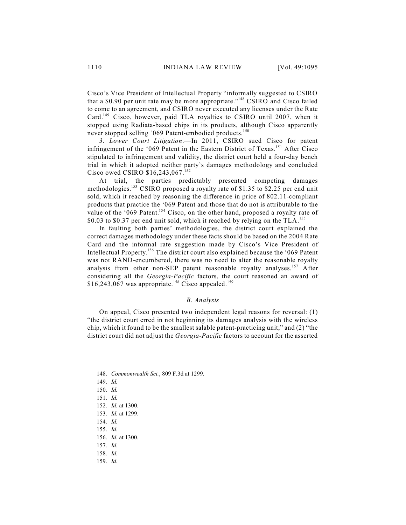Cisco's Vice President of Intellectual Property "informally suggested to CSIRO that a \$0.90 per unit rate may be more appropriate."<sup>148</sup> CSIRO and Cisco failed to come to an agreement, and CSIRO never executed any licenses under the Rate Card.<sup>149</sup> Cisco, however, paid TLA royalties to CSIRO until 2007, when it stopped using Radiata-based chips in its products, although Cisco apparently never stopped selling '069 Patent-embodied products.<sup>150</sup>

*3. Lower Court Litigation*.—In 2011, CSIRO sued Cisco for patent infringement of the '069 Patent in the Eastern District of Texas.<sup>151</sup> After Cisco stipulated to infringement and validity, the district court held a four-day bench trial in which it adopted neither party's damages methodology and concluded Cisco owed CSIRO \$16,243,067. 152

At trial, the parties predictably presented competing damages methodologies.<sup>153</sup> CSIRO proposed a royalty rate of \$1.35 to \$2.25 per end unit sold, which it reached by reasoning the difference in price of 802.11-compliant products that practice the '069 Patent and those that do not is attributable to the value of the '069 Patent.<sup>154</sup> Cisco, on the other hand, proposed a royalty rate of \$0.03 to \$0.37 per end unit sold, which it reached by relying on the TLA.<sup>155</sup>

In faulting both parties' methodologies, the district court explained the correct damages methodology under these facts should be based on the 2004 Rate Card and the informal rate suggestion made by Cisco's Vice President of Intellectual Property.<sup>156</sup> The district court also explained because the '069 Patent was not RAND-encumbered, there was no need to alter the reasonable royalty analysis from other non-SEP patent reasonable royalty analyses.<sup>157</sup> After considering all the *Georgia-Pacific* factors, the court reasoned an award of  $$16,243,067$  was appropriate.<sup>158</sup> Cisco appealed.<sup>159</sup>

### *B. Analysis*

On appeal, Cisco presented two independent legal reasons for reversal: (1) "the district court erred in not beginning its damages analysis with the wireless chip, which it found to be the smallest salable patent-practicing unit;" and (2) "the district court did not adjust the *Georgia-Pacific* factors to account for the asserted

155. *Id.*

159. *Id.*

<sup>148.</sup> *Commonwealth Sci.*, 809 F.3d at 1299.

<sup>149.</sup> *Id.*

<sup>150.</sup> *Id.*

<sup>151.</sup> *Id.*

<sup>152.</sup> *Id.* at 1300.

<sup>153.</sup> *Id.* at 1299.

<sup>154.</sup> *Id.*

<sup>156.</sup> *Id.* at 1300.

<sup>157.</sup> *Id.*

<sup>158.</sup> *Id.*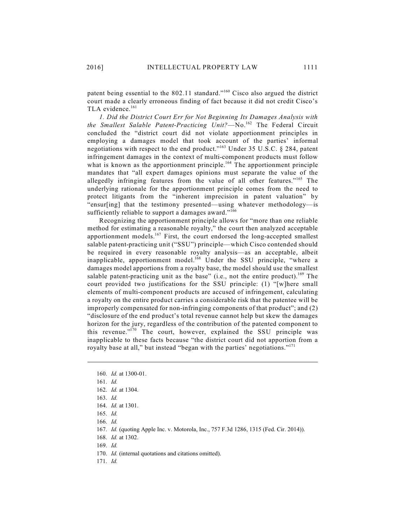patent being essential to the  $802.11$  standard."<sup>160</sup> Cisco also argued the district court made a clearly erroneous finding of fact because it did not credit Cisco's TLA evidence.<sup>161</sup>

*1. Did the District Court Err for Not Beginning Its Damages Analysis with* the Smallest Salable Patent-Practicing Unit?—No.<sup>162</sup> The Federal Circuit concluded the "district court did not violate apportionment principles in employing a damages model that took account of the parties' informal negotiations with respect to the end product."<sup>163</sup> Under 35 U.S.C. § 284, patent infringement damages in the context of multi-component products must follow what is known as the apportionment principle.<sup>164</sup> The apportionment principle mandates that "all expert damages opinions must separate the value of the allegedly infringing features from the value of all other features."<sup>165</sup> The underlying rationale for the apportionment principle comes from the need to protect litigants from the "inherent imprecision in patent valuation" by "ensur[ing] that the testimony presented—using whatever methodology—is sufficiently reliable to support a damages award."<sup>166</sup>

Recognizing the apportionment principle allows for "more than one reliable method for estimating a reasonable royalty," the court then analyzed acceptable apportionment models.<sup>167</sup> First, the court endorsed the long-accepted smallest salable patent-practicing unit ("SSU") principle—which Cisco contended should be required in every reasonable royalty analysis—as an acceptable, albeit inapplicable, apportionment model.<sup>168</sup> Under the SSU principle, "where a damages model apportions from a royalty base, the model should use the smallest salable patent-practicing unit as the base" (i.e., not the entire product).<sup>169</sup> The court provided two justifications for the SSU principle: (1) "[w]here small elements of multi-component products are accused of infringement, calculating a royalty on the entire product carries a considerable risk that the patentee will be improperly compensated for non-infringing components of that product"; and (2) "disclosure of the end product's total revenue cannot help but skew the damages horizon for the jury, regardless of the contribution of the patented component to this revenue."<sup>170</sup> The court, however, explained the SSU principle was inapplicable to these facts because "the district court did not apportion from a royalty base at all," but instead "began with the parties' negotiations."<sup>171</sup>

- 169. *Id.*
- 170. *Id.* (internal quotations and citations omitted).
- 171. *Id.*

<sup>160.</sup> *Id.* at 1300-01.

<sup>161.</sup> *Id.*

<sup>162.</sup> *Id.* at 1304.

<sup>163.</sup> *Id.*

<sup>164.</sup> *Id.* at 1301.

<sup>165.</sup> *Id.*

<sup>166.</sup> *Id.*

<sup>167.</sup> *Id.* (quoting Apple Inc. v. Motorola, Inc., 757 F.3d 1286, 1315 (Fed. Cir. 2014)).

<sup>168.</sup> *Id.* at 1302.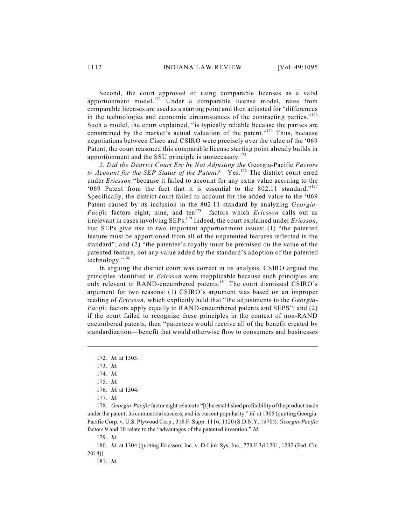Second, the court approved of using comparable licenses as a valid apportionment model. $172$  Under a comparable license model, rates from comparable licenses are used as a starting point and then adjusted for "differences in the technologies and economic circumstances of the contracting parties."<sup>173</sup> Such a model, the court explained, "is typically reliable because the parties are constrained by the market's actual valuation of the patent."<sup>174</sup> Thus, because negotiations between Cisco and CSIRO were precisely over the value of the '069 Patent, the court reasoned this comparable license starting point already builds in apportionment and the SSU principle is unnecessary.<sup>175</sup>

*2. Did the District Court Err by Not Adjusting the* Georgia-Pacific *Factors to Account for the SEP Status of the Patent?—Yes.*<sup>176</sup> The district court erred under *Ericsson* "because it failed to account for any extra value accruing to the '069 Patent from the fact that it is essential to the 802.11 standard."<sup>177</sup> Specifically, the district court failed to account for the added value to the '069 Patent caused by its inclusion in the 802.11 standard by analyzing *Georgia-Pacific* factors eight, nine, and ten<sup>178</sup>—factors which *Ericsson* calls out as irrelevant in cases involving SEPs.<sup>179</sup> Indeed, the court explained under *Ericsson*, that SEPs give rise to two important apportionment issues: (1) "the patented feature must be apportioned from all of the unpatented features reflected in the standard"; and (2) "the patentee's royalty must be premised on the value of the patented feature, not any value added by the standard's adoption of the patented technology." 180

In arguing the district court was correct in its analysis, CSIRO argued the principles identified in *Ericsson* were inapplicable because such principles are only relevant to RAND-encumbered patents.<sup>181</sup> The court dismissed CSIRO's argument for two reasons: (1) CSIRO's argument was based on an improper reading of *Ericsson*, which explicitly held that "the adjustments to the *Georgia-Pacific* factors apply equally to RAND-encumbered patents and SEPS"; and (2) if the court failed to recognize these principles in the context of non-RAND encumbered patents, then "patentees would receive all of the benefit created by standardization—benefit that would otherwise flow to consumers and businesses

178. *Georgia-Pacific* factor eight relates to "[t]he established profitability of the product made under the patent; its commercial success; and its current popularity." *Id.* at 1305 (quoting Georgia-Pacific Corp. v. U.S. Plywood Corp., 318 F. Supp. 1116, 1120 (S.D.N.Y. 1970)). *Georgia-Pacific* factors 9 and 10 relate to the "advantages of the patented invention." *Id.*

179. *Id.*

180. *Id.* at 1304 (quoting Ericsson, Inc. v. D-Link Sys, Inc., 773 F.3d 1201, 1232 (Fed. Cir. 2014)).

181. *Id.*

<sup>172.</sup> *Id.* at 1303.

<sup>173.</sup> *Id.*

<sup>174.</sup> *Id.*

<sup>175.</sup> *Id.*

<sup>176.</sup> *Id.* at 1304.

<sup>177.</sup> *Id*.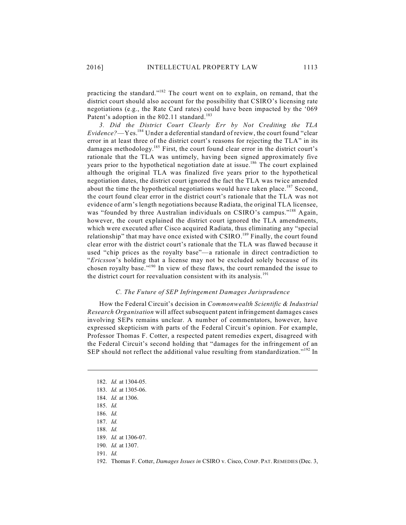practicing the standard."<sup>182</sup> The court went on to explain, on remand, that the district court should also account for the possibility that CSIRO's licensing rate negotiations (e.g., the Rate Card rates) could have been impacted by the '069 Patent's adoption in the 802.11 standard.<sup>183</sup>

*3. Did the District Court Clearly Err by Not Crediting the TLA*  $Evidence?$ —Yes.<sup>184</sup> Under a deferential standard of review, the court found "clear error in at least three of the district court's reasons for rejecting the TLA" in its damages methodology.<sup>185</sup> First, the court found clear error in the district court's rationale that the TLA was untimely, having been signed approximately five years prior to the hypothetical negotiation date at issue.<sup>186</sup> The court explained although the original TLA was finalized five years prior to the hypothetical negotiation dates, the district court ignored the fact the TLA was twice amended about the time the hypothetical negotiations would have taken place.<sup>187</sup> Second, the court found clear error in the district court's rationale that the TLA was not evidence of arm's length negotiations because Radiata, the original TLA licensee, was "founded by three Australian individuals on CSIRO's campus."<sup>188</sup> Again, however, the court explained the district court ignored the TLA amendments, which were executed after Cisco acquired Radiata, thus eliminating any "special relationship" that may have once existed with CSIRO.<sup>189</sup> Finally, the court found clear error with the district court's rationale that the TLA was flawed because it used "chip prices as the royalty base"—a rationale in direct contradiction to "*Ericsson*'s holding that a license may not be excluded solely because of its chosen royalty base."<sup>190</sup> In view of these flaws, the court remanded the issue to the district court for reevaluation consistent with its analysis.<sup>191</sup>

### *C. The Future of SEP Infringement Damages Jurisprudence*

How the Federal Circuit's decision in *Commonwealth Scientific & Industrial Research Organisation* will affect subsequent patent infringement damages cases involving SEPs remains unclear. A number of commentators, however, have expressed skepticism with parts of the Federal Circuit's opinion. For example, Professor Thomas F. Cotter, a respected patent remedies expert, disagreed with the Federal Circuit's second holding that "damages for the infringement of an SEP should not reflect the additional value resulting from standardization." $192$  In

<sup>182.</sup> *Id.* at 1304-05.

<sup>183.</sup> *Id.* at 1305-06.

<sup>184.</sup> *Id.* at 1306.

<sup>185.</sup> *Id.*

<sup>186.</sup> *Id.*

<sup>187.</sup> *Id.*

<sup>188.</sup> *Id.*

<sup>189.</sup> *Id.* at 1306-07.

<sup>190.</sup> *Id.* at 1307.

<sup>191.</sup> *Id.*

<sup>192.</sup> Thomas F. Cotter, *Damages Issues in* CSIRO v. Cisco, COMP. PAT. REMEDIES (Dec. 3,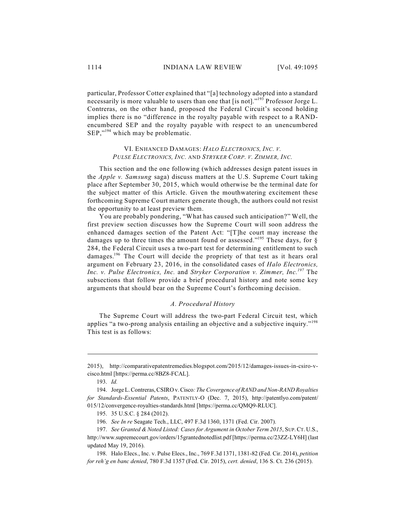particular, Professor Cotter explained that "[a] technology adopted into a standard necessarily is more valuable to users than one that [is not]."<sup>193</sup> Professor Jorge L. Contreras, on the other hand, proposed the Federal Circuit's second holding implies there is no "difference in the royalty payable with respect to a RANDencumbered SEP and the royalty payable with respect to an unencumbered  $SEP, "194}$  which may be problematic.

### VI. ENHANCED DAMAGES: *HALO ELECTRONICS, INC. V. PULSE ELECTRONICS, INC.* AND *STRYKER CORP. V. ZIMMER, INC.*

This section and the one following (which addresses design patent issues in the *Apple v. Samsung* saga) discuss matters at the U.S. Supreme Court taking place after September 30, 2015, which would otherwise be the terminal date for the subject matter of this Article. Given the mouthwatering excitement these forthcoming Supreme Court matters generate though, the authors could not resist the opportunity to at least preview them.

You are probably pondering, "What has caused such anticipation?" Well, the first preview section discusses how the Supreme Court will soon address the enhanced damages section of the Patent Act: "[T]he court may increase the damages up to three times the amount found or assessed."<sup>195</sup> These days, for § 284, the Federal Circuit uses a two-part test for determining entitlement to such damages.<sup>196</sup> The Court will decide the propriety of that test as it hears oral argument on February 23, 2016, in the consolidated cases of *Halo Electronics, Inc. v. Pulse Electronics, Inc.* and *Stryker Corporation v. Zimmer, Inc.* The *197* subsections that follow provide a brief procedural history and note some key arguments that should bear on the Supreme Court's forthcoming decision.

#### *A. Procedural History*

The Supreme Court will address the two-part Federal Circuit test, which applies "a two-prong analysis entailing an objective and a subjective inquiry."<sup>198</sup> This test is as follows:

<sup>2015),</sup> http://comparativepatentremedies.blogspot.com/2015/12/damages-issues-in-csiro-vcisco.html [https://perma.cc/8BZ8-FCAL].

<sup>193.</sup> *Id.*

<sup>194.</sup> Jorge L. Contreras, CSIRO v. Cisco*: The Covergence of RAND and Non-RAND Royalties for Standards-Essential Patents*, PATENTLY-O (Dec. 7, 2015), http://patentlyo.com/patent/ 015/12/convergence-royalties-standards.html [https://perma.cc/QMQ9-RLUC].

<sup>195.</sup> 35 U.S.C. § 284 (2012).

<sup>196.</sup> *See In re* Seagate Tech., LLC, 497 F.3d 1360, 1371 (Fed. Cir. 2007).

<sup>197.</sup> *See Granted & Noted Listed: Cases for Argument in October Term 2015*, SUP.CT. U.S., http://www.supremecourt.gov/orders/15grantednotedlist.pdf [https://perma.cc/23ZZ-LY6H] (last updated May 19, 2016).

<sup>198.</sup> Halo Elecs., Inc. v. Pulse Elecs., Inc., 769 F.3d 1371, 1381-82 (Fed. Cir. 2014), *petition for reh'g en banc denied*, 780 F.3d 1357 (Fed. Cir. 2015), *cert. denied*, 136 S. Ct. 236 (2015).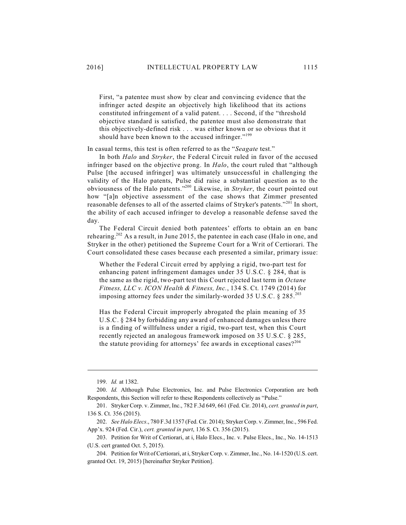First, "a patentee must show by clear and convincing evidence that the infringer acted despite an objectively high likelihood that its actions constituted infringement of a valid patent. . . . Second, if the "threshold objective standard is satisfied, the patentee must also demonstrate that this objectively-defined risk . . . was either known or so obvious that it should have been known to the accused infringer."<sup>199</sup>

In casual terms, this test is often referred to as the "*Seagate* test."

In both *Halo* and *Stryker*, the Federal Circuit ruled in favor of the accused infringer based on the objective prong. In *Halo*, the court ruled that "although Pulse [the accused infringer] was ultimately unsuccessful in challenging the validity of the Halo patents, Pulse did raise a substantial question as to the obviousness of the Halo patents."<sup>200</sup> Likewise, in *Stryker*, the court pointed out how "[a]n objective assessment of the case shows that Zimmer presented reasonable defenses to all of the asserted claims of Stryker's patents."<sup>201</sup> In short, the ability of each accused infringer to develop a reasonable defense saved the day.

The Federal Circuit denied both patentees' efforts to obtain an en banc rehearing.<sup>202</sup> As a result, in June 2015, the patentee in each case (Halo in one, and Stryker in the other) petitioned the Supreme Court for a Writ of Certiorari. The Court consolidated these cases because each presented a similar, primary issue:

Whether the Federal Circuit erred by applying a rigid, two-part test for enhancing patent infringement damages under 35 U.S.C. § 284, that is the same as the rigid, two-part test this Court rejected last term in *Octane Fitness, LLC v. ICON Health & Fitness, Inc.*, 134 S. Ct. 1749 (2014) for imposing attorney fees under the similarly-worded 35 U.S.C.  $\S 285.^{203}$ 

Has the Federal Circuit improperly abrogated the plain meaning of 35 U.S.C. § 284 by forbidding any award of enhanced damages unless there is a finding of willfulness under a rigid, two-part test, when this Court recently rejected an analogous framework imposed on 35 U.S.C. § 285, the statute providing for attorneys' fee awards in exceptional cases?<sup>204</sup>

<sup>199.</sup> *Id.* at 1382.

<sup>200.</sup> *Id.* Although Pulse Electronics, Inc. and Pulse Electronics Corporation are both Respondents, this Section will refer to these Respondents collectively as "Pulse."

<sup>201.</sup> Stryker Corp. v. Zimmer, Inc., 782 F.3d 649, 661 (Fed. Cir. 2014), *cert. granted in part*, 136 S. Ct. 356 (2015).

<sup>202.</sup> *See Halo Elecs*., 780 F.3d 1357 (Fed. Cir. 2014); Stryker Corp. v. Zimmer, Inc., 596 Fed. App'x. 924 (Fed. Cir.), *cert. granted in part*, 136 S. Ct. 356 (2015).

<sup>203.</sup> Petition for Writ of Certiorari, at i, Halo Elecs., Inc. v. Pulse Elecs., Inc., No. 14-1513 (U.S. cert granted Oct. 5, 2015).

<sup>204.</sup> Petition for Writ of Certiorari, at i, Stryker Corp. v. Zimmer, Inc., No. 14-1520 (U.S. cert. granted Oct. 19, 2015) [hereinafter Stryker Petition].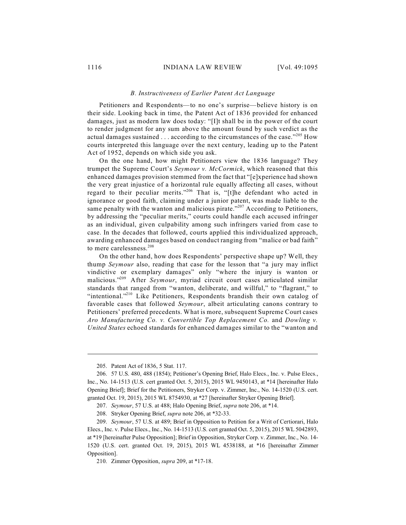### *B. Instructiveness of Earlier Patent Act Language*

Petitioners and Respondents—to no one's surprise—believe history is on their side. Looking back in time, the Patent Act of 1836 provided for enhanced damages, just as modern law does today: "[I]t shall be in the power of the court to render judgment for any sum above the amount found by such verdict as the actual damages sustained . . . according to the circumstances of the case."<sup>205</sup> How courts interpreted this language over the next century, leading up to the Patent Act of 1952, depends on which side you ask.

On the one hand, how might Petitioners view the 1836 language? They trumpet the Supreme Court's *Seymour v. McCormick*, which reasoned that this enhanced damages provision stemmed from the fact that "[e]xperience had shown the very great injustice of a horizontal rule equally affecting all cases, without regard to their peculiar merits."<sup>206</sup> That is, "[t]he defendant who acted in ignorance or good faith, claiming under a junior patent, was made liable to the same penalty with the wanton and malicious pirate." $2^{07}$  According to Petitioners, by addressing the "peculiar merits," courts could handle each accused infringer as an individual, given culpability among such infringers varied from case to case. In the decades that followed, courts applied this individualized approach, awarding enhanced damages based on conduct ranging from "malice or bad faith" to mere carelessness. 208

On the other hand, how does Respondents' perspective shape up? Well, they thump *Seymour* also, reading that case for the lesson that "a jury may inflict vindictive or exemplary damages" only "where the injury is wanton or malicious."<sup>209</sup> After Seymour, myriad circuit court cases articulated similar standards that ranged from "wanton, deliberate, and willful," to "flagrant," to "intentional."<sup>210</sup> Like Petitioners, Respondents brandish their own catalog of favorable cases that followed *Seymour*, albeit articulating canons contrary to Petitioners' preferred precedents. What is more, subsequent Supreme Court cases *Aro Manufacturing Co. v. Convertible Top Replacement Co.* and *Dowling v. United States* echoed standards for enhanced damages similar to the "wanton and

<sup>205.</sup> Patent Act of 1836, 5 Stat. 117.

<sup>206.</sup> 57 U.S. 480, 488 (1854); Petitioner's Opening Brief, Halo Elecs., Inc. v. Pulse Elecs., Inc., No. 14-1513 (U.S. cert granted Oct. 5, 2015), 2015 WL 9450143, at \*14 [hereinafter Halo Opening Brief]; Brief for the Petitioners, Stryker Corp. v. Zimmer, Inc., No. 14-1520 (U.S. cert. granted Oct. 19, 2015), 2015 WL 8754930, at \*27 [hereinafter Stryker Opening Brief].

<sup>207.</sup> *Seymour*, 57 U.S. at 488; Halo Opening Brief, *supra* note 206, at \*14.

<sup>208.</sup> Stryker Opening Brief, *supra* note 206, at \*32-33.

<sup>209.</sup> *Seymour*, 57 U.S. at 489; Brief in Opposition to Petition for a Writ of Certiorari, Halo Elecs., Inc. v. Pulse Elecs., Inc., No. 14-1513 (U.S. cert granted Oct. 5, 2015), 2015 WL 5042893, at \*19 [hereinafter Pulse Opposition]; Brief in Opposition, Stryker Corp. v. Zimmer, Inc., No. 14- 1520 (U.S. cert. granted Oct. 19, 2015), 2015 WL 4538188, at \*16 [hereinafter Zimmer Opposition].

<sup>210.</sup> Zimmer Opposition, *supra* 209, at \*17-18.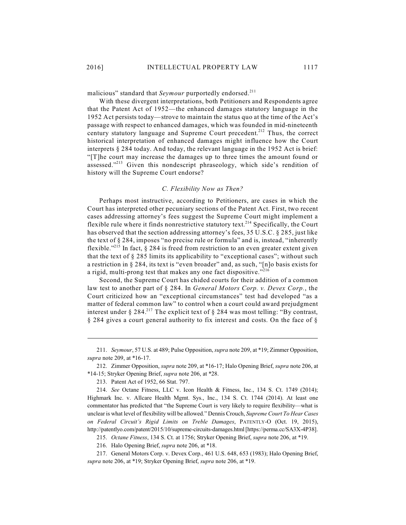malicious" standard that *Seymour* purportedly endorsed. 211

With these divergent interpretations, both Petitioners and Respondents agree that the Patent Act of 1952—the enhanced damages statutory language in the 1952 Act persists today—strove to maintain the status quo at the time of the Act's passage with respect to enhanced damages, which was founded in mid-nineteenth century statutory language and Supreme Court precedent.<sup>212</sup> Thus, the correct historical interpretation of enhanced damages might influence how the Court interprets § 284 today. And today, the relevant language in the 1952 Act is brief: "[T]he court may increase the damages up to three times the amount found or assessed."<sup>213</sup> Given this nondescript phraseology, which side's rendition of history will the Supreme Court endorse?

### *C. Flexibility Now as Then?*

Perhaps most instructive, according to Petitioners, are cases in which the Court has interpreted other pecuniary sections of the Patent Act. First, two recent cases addressing attorney's fees suggest the Supreme Court might implement a flexible rule where it finds nonrestrictive statutory text.<sup>214</sup> Specifically, the Court has observed that the section addressing attorney's fees, 35 U.S.C. § 285, just like the text of § 284, imposes "no precise rule or formula" and is, instead, "inherently flexible."<sup>215</sup> In fact,  $\S$  284 is freed from restriction to an even greater extent given that the text of § 285 limits its applicability to "exceptional cases"; without such a restriction in § 284, its text is "even broader" and, as such, "[n]o basis exists for a rigid, multi-prong test that makes any one fact dispositive."216

Second, the Supreme Court has chided courts for their addition of a common law test to another part of § 284. In *General Motors Corp. v. Devex Corp.*, the Court criticized how an "exceptional circumstances" test had developed "as a matter of federal common law" to control when a court could award prejudgment interest under § 284.<sup>217</sup> The explicit text of § 284 was most telling: "By contrast, § 284 gives a court general authority to fix interest and costs. On the face of §

<sup>211.</sup> *Seymour*, 57 U.S. at 489; Pulse Opposition, *supra* note 209, at \*19; Zimmer Opposition, *supra* note 209, at \*16-17.

<sup>212.</sup> Zimmer Opposition, *supra* note 209, at \*16-17; Halo Opening Brief, *supra* note 206, at \*14-15; Stryker Opening Brief, *supra* note 206, at \*28.

<sup>213.</sup> Patent Act of 1952, 66 Stat. 797.

<sup>214.</sup> *See* Octane Fitness, LLC v. Icon Health & Fitness, Inc., 134 S. Ct. 1749 (2014); Highmark Inc. v. Allcare Health Mgmt. Sys., Inc., 134 S. Ct. 1744 (2014). At least one commentator has predicted that "the Supreme Court is very likely to require flexibility—what is unclear is what level of flexibility will be allowed." Dennis Crouch, *Supreme Court To Hear Cases on Federal Circuit's Rigid Limits on Treble Damages*, PATENTLY-O (Oct. 19, 2015), http://patentlyo.com/patent/2015/10/supreme-circuits-damages.html[https://perma.cc/SA3X-4P38].

<sup>215.</sup> *Octane Fitness*, 134 S. Ct. at 1756; Stryker Opening Brief, *supra* note 206, at \*19.

<sup>216.</sup> Halo Opening Brief, *supra* note 206, at \*18.

<sup>217.</sup> General Motors Corp. v. Devex Corp., 461 U.S. 648, 653 (1983); Halo Opening Brief, *supra* note 206, at \*19; Stryker Opening Brief, *supra* note 206, at \*19.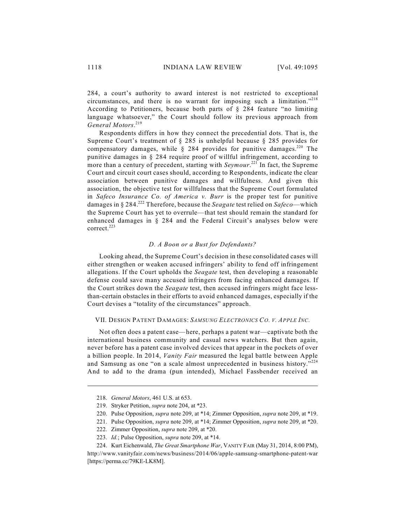284, a court's authority to award interest is not restricted to exceptional circumstances, and there is no warrant for imposing such a limitation." 218 According to Petitioners, because both parts of § 284 feature "no limiting language whatsoever," the Court should follow its previous approach from *General Motors*. 219

Respondents differs in how they connect the precedential dots. That is, the Supreme Court's treatment of § 285 is unhelpful because § 285 provides for compensatory damages, while  $\S$  284 provides for punitive damages.<sup>220</sup> The punitive damages in § 284 require proof of willful infringement, according to more than a century of precedent, starting with *Seymour*.<sup>221</sup> In fact, the Supreme Court and circuit court cases should, according to Respondents, indicate the clear association between punitive damages and willfulness. And given this association, the objective test for willfulness that the Supreme Court formulated in *Safeco Insurance Co. of America v. Burr* is the proper test for punitive damages in § 284.<sup>222</sup> Therefore, because the *Seagate* test relied on *Safeco*—which the Supreme Court has yet to overrule—that test should remain the standard for enhanced damages in  $\S$  284 and the Federal Circuit's analyses below were correct. 223

### *D. A Boon or a Bust for Defendants?*

Looking ahead, the Supreme Court's decision in these consolidated cases will either strengthen or weaken accused infringers' ability to fend off infringement allegations. If the Court upholds the *Seagate* test, then developing a reasonable defense could save many accused infringers from facing enhanced damages. If the Court strikes down the *Seagate* test, then accused infringers might face lessthan-certain obstacles in their efforts to avoid enhanced damages, especially if the Court devises a "totality of the circumstances" approach.

### VII. DESIGN PATENT DAMAGES: *SAMSUNG ELECTRONICS CO. V. APPLE INC.*

Not often does a patent case—here, perhaps a patent war—captivate both the international business community and casual news watchers. But then again, never before has a patent case involved devices that appear in the pockets of over a billion people. In 2014, *Vanity Fair* measured the legal battle between Apple and Samsung as one "on a scale almost unprecedented in business history."<sup>224</sup> And to add to the drama (pun intended), Michael Fassbender received an

<sup>218.</sup> *General Motors*, 461 U.S. at 653.

<sup>219.</sup> Stryker Petition, *supra* note 204, at \*23.

<sup>220.</sup> Pulse Opposition, *supra* note 209, at \*14; Zimmer Opposition, *supra* note 209, at \*19.

<sup>221.</sup> Pulse Opposition, *supra* note 209, at \*14; Zimmer Opposition, *supra* note 209, at \*20.

<sup>222.</sup> Zimmer Opposition, *supra* note 209, at \*20.

<sup>223.</sup> *Id.*; Pulse Opposition, *supra* note 209, at \*14.

<sup>224.</sup> Kurt Eichenwald, *The Great Smartphone War*, VANITY FAIR (May 31, 2014, 8:00 PM), http://www.vanityfair.com/news/business/2014/06/apple-samsung-smartphone-patent-war [https://perma.cc/79KE-LK8M].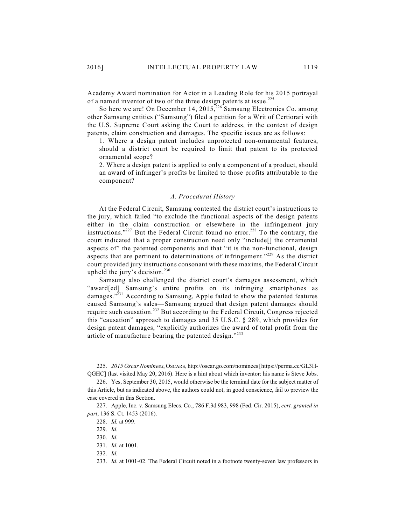Academy Award nomination for Actor in a Leading Role for his 2015 portrayal of a named inventor of two of the three design patents at issue.<sup>225</sup>

So here we are! On December 14,  $2015$ ,  $226$  Samsung Electronics Co. among other Samsung entities ("Samsung") filed a petition for a Writ of Certiorari with the U.S. Supreme Court asking the Court to address, in the context of design patents, claim construction and damages. The specific issues are as follows:

1. Where a design patent includes unprotected non-ornamental features, should a district court be required to limit that patent to its protected ornamental scope?

2. Where a design patent is applied to only a component of a product, should an award of infringer's profits be limited to those profits attributable to the component?

### *A. Procedural History*

At the Federal Circuit, Samsung contested the district court's instructions to the jury, which failed "to exclude the functional aspects of the design patents either in the claim construction or elsewhere in the infringement jury instructions."<sup>227</sup> But the Federal Circuit found no error.<sup>228</sup> To the contrary, the court indicated that a proper construction need only "include[] the ornamental aspects of" the patented components and that "it is the non-functional, design aspects that are pertinent to determinations of infringement." $^{229}$  As the district court provided jury instructions consonant with these maxims, the Federal Circuit upheld the jury's decision.<sup>230</sup>

Samsung also challenged the district court's damages assessment, which "award[ed] Samsung's entire profits on its infringing smartphones as damages."<sup>231</sup> According to Samsung, Apple failed to show the patented features caused Samsung's sales—Samsung argued that design patent damages should require such causation.<sup>232</sup> But according to the Federal Circuit, Congress rejected this "causation" approach to damages and 35 U.S.C. § 289, which provides for design patent damages, "explicitly authorizes the award of total profit from the article of manufacture bearing the patented design."233

<sup>225.</sup> *2015 Oscar Nominees*, OSCARS, http://oscar.go.com/nominees [https://perma.cc/GL3H-QGHC] (last visited May 20, 2016). Here is a hint about which inventor: his name is Steve Jobs.

<sup>226.</sup> Yes, September 30, 2015, would otherwise be the terminal date for the subject matter of this Article, but as indicated above, the authors could not, in good conscience, fail to preview the case covered in this Section.

<sup>227.</sup> Apple, Inc. v. Samsung Elecs. Co., 786 F.3d 983, 998 (Fed. Cir. 2015), *cert. granted in part*, 136 S. Ct. 1453 (2016).

<sup>228.</sup> *Id.* at 999.

<sup>229.</sup> *Id.*

<sup>230.</sup> *Id.*

<sup>231.</sup> *Id.* at 1001.

<sup>232.</sup> *Id.*

<sup>233.</sup> *Id.* at 1001-02. The Federal Circuit noted in a footnote twenty-seven law professors in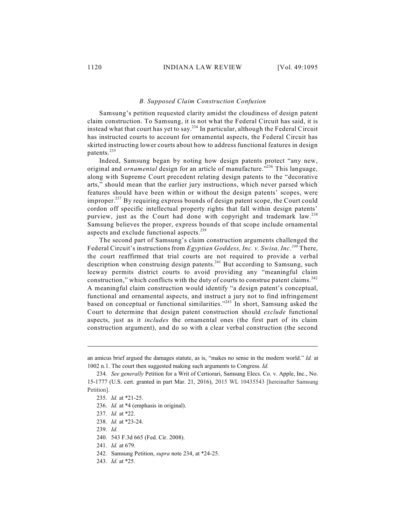### *B. Supposed Claim Construction Confusion*

Samsung's petition requested clarity amidst the cloudiness of design patent claim construction. To Samsung, it is not what the Federal Circuit has said, it is instead what that court has yet to say.<sup>234</sup> In particular, although the Federal Circuit has instructed courts to account for ornamental aspects, the Federal Circuit has skirted instructing lower courts about how to address functional features in design patents. 235

Indeed, Samsung began by noting how design patents protect "any new, original and *ornamental* design for an article of manufacture."<sup>236</sup> This language, along with Supreme Court precedent relating design patents to the "decorative arts," should mean that the earlier jury instructions, which never parsed which features should have been within or without the design patents' scopes, were improper. $^{237}$  By requiring express bounds of design patent scope, the Court could cordon off specific intellectual property rights that fall within design patents' purview, just as the Court had done with copyright and trademark law.<sup>238</sup> Samsung believes the proper, express bounds of that scope include ornamental aspects and exclude functional aspects.<sup>239</sup>

The second part of Samsung's claim construction arguments challenged the Federal Circuit's instructions from *Egyptian Goddess, Inc. v. Swisa, Inc.* There, *240* the court reaffirmed that trial courts are not required to provide a verbal description when construing design patents. $241$  But according to Samsung, such leeway permits district courts to avoid providing any "meaningful claim construction," which conflicts with the duty of courts to construe patent claims. $^{242}$ A meaningful claim construction would identify "a design patent's conceptual, functional and ornamental aspects, and instruct a jury not to find infringement based on conceptual or functional similarities." $243$  In short, Samsung asked the Court to determine that design patent construction should *exclude* functional aspects, just as it *includes* the ornamental ones (the first part of its claim construction argument), and do so with a clear verbal construction (the second

an amicus brief argued the damages statute, as is, "makes no sense in the modern world." *Id.* at 1002 n.1. The court then suggested making such arguments to Congress. *Id.*

<sup>234.</sup> *See generally* Petition for a Writ of Certiorari, Samsung Elecs. Co. v. Apple, Inc., No. 15-1777 (U.S. cert. granted in part Mar. 21, 2016), 2015 WL 10435543 [hereinafter Samsung Petition].

<sup>235.</sup> *Id.* at \*21-25.

<sup>236.</sup> *Id.* at \*4 (emphasis in original).

<sup>237.</sup> *Id.* at \*22.

<sup>238.</sup> *Id.* at \*23-24.

<sup>239.</sup> *Id.*

<sup>240.</sup> 543 F.3d 665 (Fed. Cir. 2008).

<sup>241.</sup> *Id.* at 679.

<sup>242.</sup> Samsung Petition, *supra* note 234, at \*24-25.

<sup>243.</sup> *Id.* at \*25.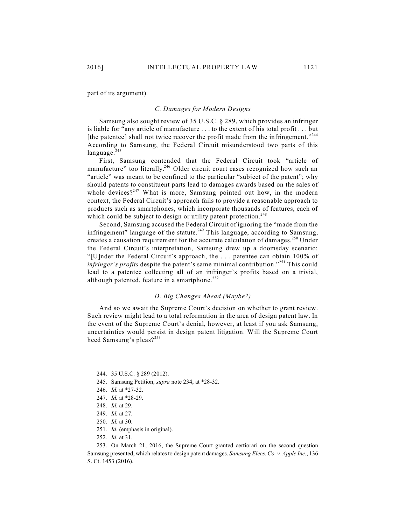part of its argument).

### *C. Damages for Modern Designs*

Samsung also sought review of 35 U.S.C. § 289, which provides an infringer is liable for "any article of manufacture . . . to the extent of his total profit . . . but [the patentee] shall not twice recover the profit made from the infringement."<sup>244</sup> According to Samsung, the Federal Circuit misunderstood two parts of this language.<sup>245</sup>

First, Samsung contended that the Federal Circuit took "article of manufacture" too literally.<sup>246</sup> Older circuit court cases recognized how such an "article" was meant to be confined to the particular "subject of the patent"; why should patents to constituent parts lead to damages awards based on the sales of whole devices? $247$  What is more, Samsung pointed out how, in the modern context, the Federal Circuit's approach fails to provide a reasonable approach to products such as smartphones, which incorporate thousands of features, each of which could be subject to design or utility patent protection.<sup>248</sup>

Second, Samsung accused the Federal Circuit of ignoring the "made from the infringement" language of the statute.<sup>249</sup> This language, according to Samsung, creates a causation requirement for the accurate calculation of damages.<sup>250</sup> Under the Federal Circuit's interpretation, Samsung drew up a doomsday scenario: "[U]nder the Federal Circuit's approach, the . . . patentee can obtain 100% of *infringer's profits* despite the patent's same minimal contribution."<sup>251</sup> This could lead to a patentee collecting all of an infringer's profits based on a trivial, although patented, feature in a smartphone.<sup>252</sup>

### *D. Big Changes Ahead (Maybe?)*

And so we await the Supreme Court's decision on whether to grant review. Such review might lead to a total reformation in the area of design patent law. In the event of the Supreme Court's denial, however, at least if you ask Samsung, uncertainties would persist in design patent litigation. Will the Supreme Court heed Samsung's pleas?<sup>253</sup>

- 245. Samsung Petition, *supra* note 234, at \*28-32.
- 246. *Id.* at \*27-32.

<sup>244.</sup> 35 U.S.C. § 289 (2012).

<sup>247.</sup> *Id.* at \*28-29.

<sup>248.</sup> *Id.* at 29.

<sup>249.</sup> *Id.* at 27.

<sup>250.</sup> *Id.* at 30.

<sup>251.</sup> *Id.* (emphasis in original).

<sup>252.</sup> *Id.* at 31.

<sup>253.</sup> On March 21, 2016, the Supreme Court granted certiorari on the second question Samsung presented, which relates to design patent damages. *Samsung Elecs. Co. v. Apple Inc.*, 136 S. Ct. 1453 (2016).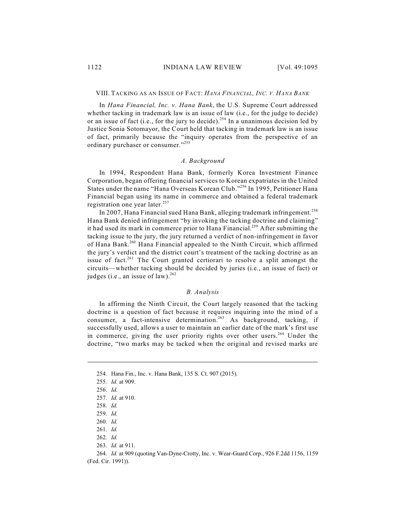#### VIII. TACKING AS AN ISSUE OF FACT: *HANA FINANCIAL, INC. V. HANA BANK*

In *Hana Financial, Inc. v. Hana Bank*, the U.S. Supreme Court addressed whether tacking in trademark law is an issue of law (i.e., for the judge to decide) or an issue of fact (i.e., for the jury to decide).<sup>254</sup> In a unanimous decision led by Justice Sonia Sotomayor, the Court held that tacking in trademark law is an issue of fact, primarily because the "inquiry operates from the perspective of an ordinary purchaser or consumer."<sup>255</sup>

### *A. Background*

In 1994, Respondent Hana Bank, formerly Korea Investment Finance Corporation, began offering financial services to Korean expatriates in the United States under the name "Hana Overseas Korean Club."<sup>256</sup> In 1995, Petitioner Hana Financial began using its name in commerce and obtained a federal trademark registration one year later.<sup>257</sup>

In 2007, Hana Financial sued Hana Bank, alleging trademark infringement.<sup>258</sup> Hana Bank denied infringement "by invoking the tacking doctrine and claiming" it had used its mark in commerce prior to Hana Financial.<sup>259</sup> After submitting the tacking issue to the jury, the jury returned a verdict of non-infringement in favor of Hana Bank.<sup>260</sup> Hana Financial appealed to the Ninth Circuit, which affirmed the jury's verdict and the district court's treatment of the tacking doctrine as an issue of fact.<sup>261</sup> The Court granted certiorari to resolve a split amongst the circuits—whether tacking should be decided by juries (i.e., an issue of fact) or judges (i.e., an issue of law). $^{262}$ 

### *B. Analysis*

In affirming the Ninth Circuit, the Court largely reasoned that the tacking doctrine is a question of fact because it requires inquiring into the mind of a consumer, a fact-intensive determination.<sup>263</sup> As background, tacking, if successfully used, allows a user to maintain an earlier date of the mark's first use in commerce, giving the user priority rights over other users.<sup>264</sup> Under the doctrine, "two marks may be tacked when the original and revised marks are

<sup>254.</sup> Hana Fin., Inc. v. Hana Bank, 135 S. Ct. 907 (2015).

<sup>255.</sup> *Id.* at 909.

<sup>256.</sup> *Id.*

<sup>257.</sup> *Id.* at 910.

<sup>258.</sup> *Id.*

<sup>259.</sup> *Id.*

<sup>260.</sup> *Id.*

<sup>261.</sup> *Id.*

<sup>262.</sup> *Id.*

<sup>263.</sup> *Id.* at 911.

<sup>264.</sup> *Id.* at 909 (quoting Van-Dyne-Crotty, Inc. v. Wear-Guard Corp., 926 F.2dd 1156, 1159 (Fed. Cir. 1991)).